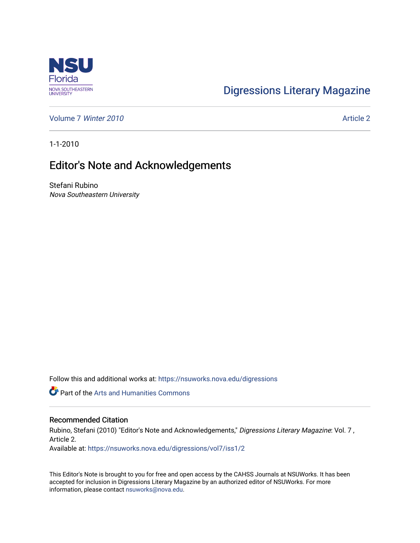

## [Digressions Literary Magazine](https://nsuworks.nova.edu/digressions)

[Volume 7](https://nsuworks.nova.edu/digressions/vol7) Winter 2010 [Article 2](https://nsuworks.nova.edu/digressions/vol7/iss1/2) and 2010

1-1-2010

## Editor's Note and Acknowledgements

Stefani Rubino Nova Southeastern University

Follow this and additional works at: [https://nsuworks.nova.edu/digressions](https://nsuworks.nova.edu/digressions?utm_source=nsuworks.nova.edu%2Fdigressions%2Fvol7%2Fiss1%2F2&utm_medium=PDF&utm_campaign=PDFCoverPages) 

Part of the [Arts and Humanities Commons](http://network.bepress.com/hgg/discipline/438?utm_source=nsuworks.nova.edu%2Fdigressions%2Fvol7%2Fiss1%2F2&utm_medium=PDF&utm_campaign=PDFCoverPages) 

## Recommended Citation

Rubino, Stefani (2010) "Editor's Note and Acknowledgements," Digressions Literary Magazine: Vol. 7, Article 2.

Available at: [https://nsuworks.nova.edu/digressions/vol7/iss1/2](https://nsuworks.nova.edu/digressions/vol7/iss1/2?utm_source=nsuworks.nova.edu%2Fdigressions%2Fvol7%2Fiss1%2F2&utm_medium=PDF&utm_campaign=PDFCoverPages) 

This Editor's Note is brought to you for free and open access by the CAHSS Journals at NSUWorks. It has been accepted for inclusion in Digressions Literary Magazine by an authorized editor of NSUWorks. For more information, please contact [nsuworks@nova.edu.](mailto:nsuworks@nova.edu)